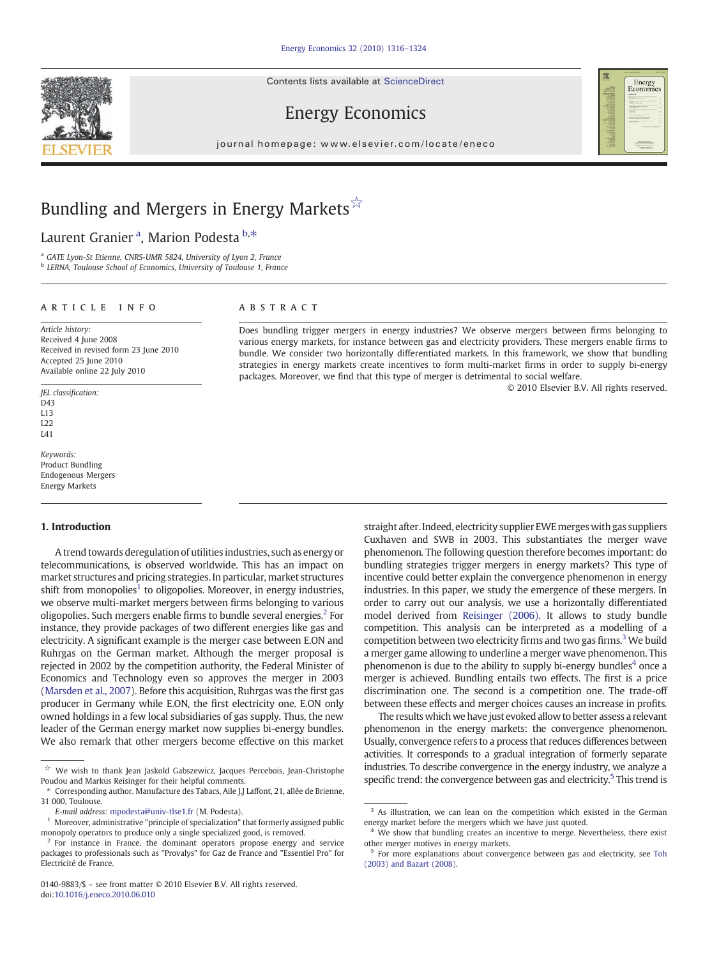Contents lists available at ScienceDirect

# Energy Economics

 $j$  or extended the p and  $i$  events of  $i$  and  $i$  extended the  $i$ 

# Bundling and Mergers in Energy Markets<sup>☆</sup>

## Laurent Granier<sup>a</sup>, Marion Podesta b,\*

<sup>a</sup> GATE Lyon-St Etienne, CNRS-UMR 5824, University of Lyon 2, France

<sup>b</sup> LERNA, Toulouse School of Economics, University of Toulouse 1, France

## article info abstract

Article history: Received 4 June 2008 Received in revised form 23 June 2010 Accepted 25 June 2010 Available online 22 July 2010

### JEL classification: D43 L13  $122$ L41

Keywords: Product Bundling Endogenous Mergers Energy Markets

## 1. Introduction

A trend towards deregulation of utilities industries, such as energy or telecommunications, is observed worldwide. This has an impact on market structures and pricing strategies. In particular, market structures shift from monopolies<sup>1</sup> to oligopolies. Moreover, in energy industries, we observe multi-market mergers between firms belonging to various oligopolies. Such mergers enable firms to bundle several energies.<sup>2</sup> For instance, they provide packages of two different energies like gas and electricity. A significant example is the merger case between E.ON and Ruhrgas on the German market. Although the merger proposal is rejected in 2002 by the competition authority, the Federal Minister of Economics and Technology even so approves the merger in 2003 [\(Marsden et al., 2007](#page--1-0)). Before this acquisition, Ruhrgas was the first gas producer in Germany while E.ON, the first electricity one. E.ON only owned holdings in a few local subsidiaries of gas supply. Thus, the new leader of the German energy market now supplies bi-energy bundles. We also remark that other mergers become effective on this market

straight after. Indeed, electricity supplier EWEmerges with gas suppliers Cuxhaven and SWB in 2003. This substantiates the merger wave phenomenon. The following question therefore becomes important: do bundling strategies trigger mergers in energy markets? This type of incentive could better explain the convergence phenomenon in energy industries. In this paper, we study the emergence of these mergers. In order to carry out our analysis, we use a horizontally differentiated model derived from [Reisinger \(2006\)](#page--1-0). It allows to study bundle competition. This analysis can be interpreted as a modelling of a competition between two electricity firms and two gas firms.<sup>3</sup> We build a merger game allowing to underline a merger wave phenomenon. This phenomenon is due to the ability to supply bi-energy bundles<sup>4</sup> once a merger is achieved. Bundling entails two effects. The first is a price discrimination one. The second is a competition one. The trade-off between these effects and merger choices causes an increase in profits.

Does bundling trigger mergers in energy industries? We observe mergers between firms belonging to various energy markets, for instance between gas and electricity providers. These mergers enable firms to bundle. We consider two horizontally differentiated markets. In this framework, we show that bundling strategies in energy markets create incentives to form multi-market firms in order to supply bi-energy

packages. Moreover, we find that this type of merger is detrimental to social welfare.

The results which we have just evoked allow to better assess a relevant phenomenon in the energy markets: the convergence phenomenon. Usually, convergence refers to a process that reduces differences between activities. It corresponds to a gradual integration of formerly separate industries. To describe convergence in the energy industry, we analyze a specific trend: the convergence between gas and electricity.<sup>5</sup> This trend is





© 2010 Elsevier B.V. All rights reserved.

<sup>☆</sup> We wish to thank Jean Jaskold Gabszewicz, Jacques Percebois, Jean-Christophe Poudou and Markus Reisinger for their helpful comments.

<sup>⁎</sup> Corresponding author. Manufacture des Tabacs, Aile J.J Laffont, 21, allée de Brienne, 31 000, Toulouse.

E-mail address: [mpodesta@univ-tlse1.fr](mailto:mpodesta@univ-tlse1.fr) (M. Podesta).

<sup>&</sup>lt;sup>1</sup> Moreover, administrative "principle of specialization" that formerly assigned public monopoly operators to produce only a single specialized good, is removed.

 $2$  For instance in France, the dominant operators propose energy and service packages to professionals such as "Provalys" for Gaz de France and "Essentiel Pro" for Electricité de France.

<sup>&</sup>lt;sup>3</sup> As illustration, we can lean on the competition which existed in the German energy market before the mergers which we have just quoted.

 $4$  We show that bundling creates an incentive to merge. Nevertheless, there exist other merger motives in energy markets.

<sup>5</sup> For more explanations about convergence between gas and electricity, see [Toh](#page--1-0) [\(2003\) and Bazart \(2008\).](#page--1-0)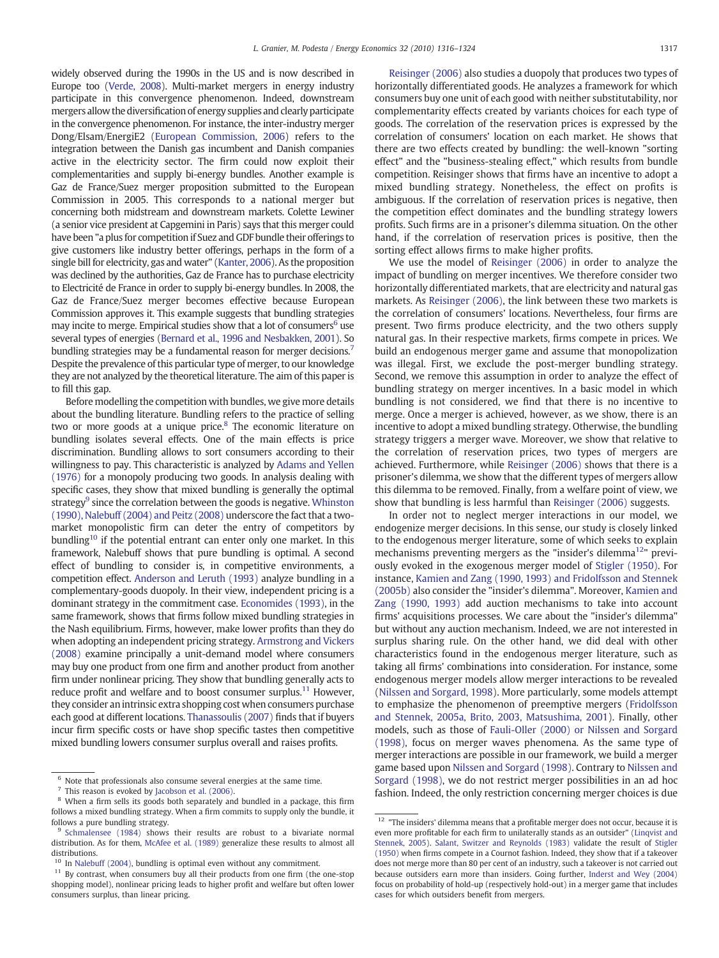widely observed during the 1990s in the US and is now described in Europe too [\(Verde, 2008\)](#page--1-0). Multi-market mergers in energy industry participate in this convergence phenomenon. Indeed, downstream mergers allow the diversification of energy supplies and clearly participate in the convergence phenomenon. For instance, the inter-industry merger Dong/Elsam/EnergiE2 ([European Commission, 2006](#page--1-0)) refers to the integration between the Danish gas incumbent and Danish companies active in the electricity sector. The firm could now exploit their complementarities and supply bi-energy bundles. Another example is Gaz de France/Suez merger proposition submitted to the European Commission in 2005. This corresponds to a national merger but concerning both midstream and downstream markets. Colette Lewiner (a senior vice president at Capgemini in Paris) says that this merger could have been "a plus for competition if Suez and GDF bundle their offerings to give customers like industry better offerings, perhaps in the form of a single bill for electricity, gas and water" ([Kanter, 2006](#page--1-0)). As the proposition was declined by the authorities, Gaz de France has to purchase electricity to Electricité de France in order to supply bi-energy bundles. In 2008, the Gaz de France/Suez merger becomes effective because European Commission approves it. This example suggests that bundling strategies may incite to merge. Empirical studies show that a lot of consumers<sup>6</sup> use several types of energies (Bernard et al., 1996 [and Nesbakken, 2001\)](#page--1-0). So bundling strategies may be a fundamental reason for merger decisions.<sup>7</sup> Despite the prevalence of this particular type of merger, to our knowledge they are not analyzed by the theoretical literature. The aim of this paper is to fill this gap.

Before modelling the competition with bundles, we give more details about the bundling literature. Bundling refers to the practice of selling two or more goods at a unique price. $8$  The economic literature on bundling isolates several effects. One of the main effects is price discrimination. Bundling allows to sort consumers according to their willingness to pay. This characteristic is analyzed by [Adams and Yellen](#page--1-0) [\(1976\)](#page--1-0) for a monopoly producing two goods. In analysis dealing with specific cases, they show that mixed bundling is generally the optimal strategy<sup>9</sup> since the correlation between the goods is negative. [Whinston](#page--1-0) [\(1990\), Nalebuff \(2004\) and Peitz \(2008\)](#page--1-0) underscore the fact that a twomarket monopolistic firm can deter the entry of competitors by bundling<sup>10</sup> if the potential entrant can enter only one market. In this framework, Nalebuff shows that pure bundling is optimal. A second effect of bundling to consider is, in competitive environments, a competition effect. [Anderson and Leruth \(1993\)](#page--1-0) analyze bundling in a complementary-goods duopoly. In their view, independent pricing is a dominant strategy in the commitment case. [Economides \(1993\),](#page--1-0) in the same framework, shows that firms follow mixed bundling strategies in the Nash equilibrium. Firms, however, make lower profits than they do when adopting an independent pricing strategy. [Armstrong and Vickers](#page--1-0) [\(2008\)](#page--1-0) examine principally a unit-demand model where consumers may buy one product from one firm and another product from another firm under nonlinear pricing. They show that bundling generally acts to reduce profit and welfare and to boost consumer surplus.<sup>11</sup> However, they consider an intrinsic extra shopping cost when consumers purchase each good at different locations. [Thanassoulis \(2007\)](#page--1-0) finds that if buyers incur firm specific costs or have shop specific tastes then competitive mixed bundling lowers consumer surplus overall and raises profits.

[Reisinger \(2006\)](#page--1-0) also studies a duopoly that produces two types of horizontally differentiated goods. He analyzes a framework for which consumers buy one unit of each good with neither substitutability, nor complementarity effects created by variants choices for each type of goods. The correlation of the reservation prices is expressed by the correlation of consumers' location on each market. He shows that there are two effects created by bundling: the well-known "sorting effect" and the "business-stealing effect," which results from bundle competition. Reisinger shows that firms have an incentive to adopt a mixed bundling strategy. Nonetheless, the effect on profits is ambiguous. If the correlation of reservation prices is negative, then the competition effect dominates and the bundling strategy lowers profits. Such firms are in a prisoner's dilemma situation. On the other hand, if the correlation of reservation prices is positive, then the sorting effect allows firms to make higher profits.

We use the model of [Reisinger \(2006\)](#page--1-0) in order to analyze the impact of bundling on merger incentives. We therefore consider two horizontally differentiated markets, that are electricity and natural gas markets. As [Reisinger \(2006\),](#page--1-0) the link between these two markets is the correlation of consumers' locations. Nevertheless, four firms are present. Two firms produce electricity, and the two others supply natural gas. In their respective markets, firms compete in prices. We build an endogenous merger game and assume that monopolization was illegal. First, we exclude the post-merger bundling strategy. Second, we remove this assumption in order to analyze the effect of bundling strategy on merger incentives. In a basic model in which bundling is not considered, we find that there is no incentive to merge. Once a merger is achieved, however, as we show, there is an incentive to adopt a mixed bundling strategy. Otherwise, the bundling strategy triggers a merger wave. Moreover, we show that relative to the correlation of reservation prices, two types of mergers are achieved. Furthermore, while [Reisinger \(2006\)](#page--1-0) shows that there is a prisoner's dilemma, we show that the different types of mergers allow this dilemma to be removed. Finally, from a welfare point of view, we show that bundling is less harmful than [Reisinger \(2006\)](#page--1-0) suggests.

In order not to neglect merger interactions in our model, we endogenize merger decisions. In this sense, our study is closely linked to the endogenous merger literature, some of which seeks to explain mechanisms preventing mergers as the "insider's dilemma<sup>12</sup>" previously evoked in the exogenous merger model of [Stigler \(1950\)](#page--1-0). For instance, [Kamien and Zang \(1990, 1993\) and Fridolfsson and Stennek](#page--1-0) [\(2005b\)](#page--1-0) also consider the "insider's dilemma". Moreover, [Kamien and](#page--1-0) [Zang \(1990, 1993\)](#page--1-0) add auction mechanisms to take into account firms' acquisitions processes. We care about the "insider's dilemma" but without any auction mechanism. Indeed, we are not interested in surplus sharing rule. On the other hand, we did deal with other characteristics found in the endogenous merger literature, such as taking all firms' combinations into consideration. For instance, some endogenous merger models allow merger interactions to be revealed [\(Nilssen and Sorgard, 1998](#page--1-0)). More particularly, some models attempt to emphasize the phenomenon of preemptive mergers ([Fridolfsson](#page--1-0) [and Stennek, 2005a, Brito, 2003, Matsushima, 2001\)](#page--1-0). Finally, other models, such as those of [Fauli-Oller \(2000\) or Nilssen and Sorgard](#page--1-0) [\(1998\),](#page--1-0) focus on merger waves phenomena. As the same type of merger interactions are possible in our framework, we build a merger game based upon [Nilssen and Sorgard \(1998\).](#page--1-0) Contrary to [Nilssen and](#page--1-0) [Sorgard \(1998\),](#page--1-0) we do not restrict merger possibilities in an ad hoc fashion. Indeed, the only restriction concerning merger choices is due

 $6$  Note that professionals also consume several energies at the same time.

<sup>7</sup> This reason is evoked by [Jacobson et al. \(2006\)](#page--1-0).

<sup>&</sup>lt;sup>8</sup> When a firm sells its goods both separately and bundled in a package, this firm follows a mixed bundling strategy. When a firm commits to supply only the bundle, it follows a pure bundling strategy.

<sup>&</sup>lt;sup>9</sup> [Schmalensee \(1984\)](#page--1-0) shows their results are robust to a bivariate normal distribution. As for them, [McAfee et al. \(1989\)](#page--1-0) generalize these results to almost all distributions.

 $10$  In [Nalebuff \(2004\),](#page--1-0) bundling is optimal even without any commitment.

 $11$  By contrast, when consumers buy all their products from one firm (the one-stop shopping model), nonlinear pricing leads to higher profit and welfare but often lower consumers surplus, than linear pricing.

 $12$  "The insiders' dilemma means that a profitable merger does not occur, because it is even more profitable for each firm to unilaterally stands as an outsider" ([Linqvist and](#page--1-0) [Stennek, 2005](#page--1-0)). [Salant, Switzer and Reynolds \(1983\)](#page--1-0) validate the result of [Stigler](#page--1-0) [\(1950\)](#page--1-0) when firms compete in a Cournot fashion. Indeed, they show that if a takeover does not merge more than 80 per cent of an industry, such a takeover is not carried out because outsiders earn more than insiders. Going further, [Inderst and Wey \(2004\)](#page--1-0) focus on probability of hold-up (respectively hold-out) in a merger game that includes cases for which outsiders benefit from mergers.